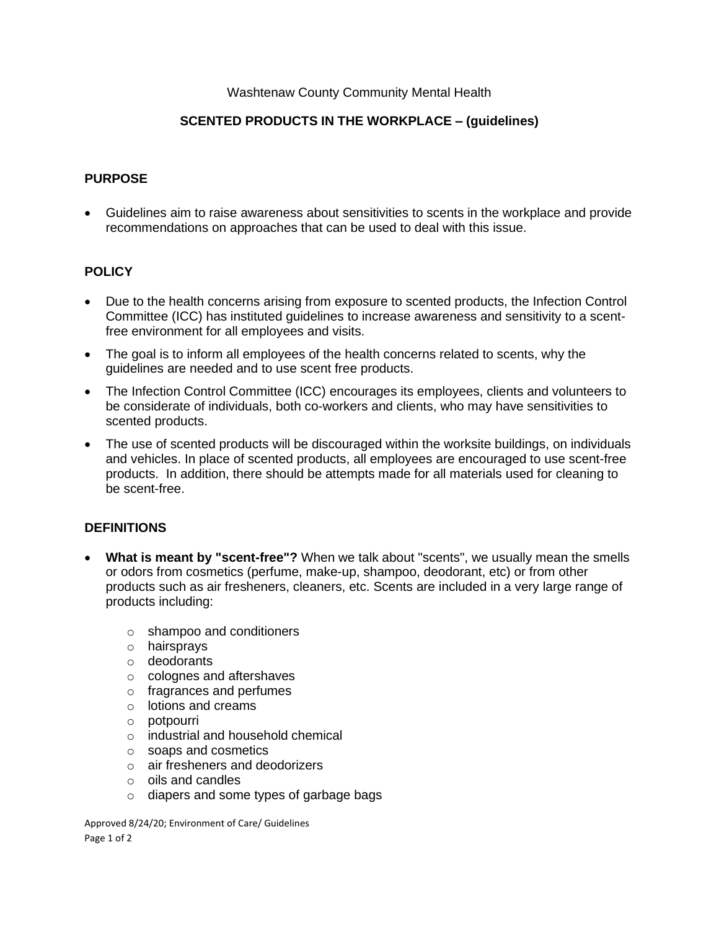## Washtenaw County Community Mental Health

# **SCENTED PRODUCTS IN THE WORKPLACE – (guidelines)**

## **PURPOSE**

• Guidelines aim to raise awareness about sensitivities to scents in the workplace and provide recommendations on approaches that can be used to deal with this issue.

## **POLICY**

- Due to the health concerns arising from exposure to scented products, the Infection Control Committee (ICC) has instituted guidelines to increase awareness and sensitivity to a scentfree environment for all employees and visits.
- The goal is to inform all employees of the health concerns related to scents, why the guidelines are needed and to use scent free products.
- The Infection Control Committee (ICC) encourages its employees, clients and volunteers to be considerate of individuals, both co-workers and clients, who may have sensitivities to scented products.
- The use of scented products will be discouraged within the worksite buildings, on individuals and vehicles. In place of scented products, all employees are encouraged to use scent-free products. In addition, there should be attempts made for all materials used for cleaning to be scent-free.

### **DEFINITIONS**

- **What is meant by "scent-free"?** When we talk about "scents", we usually mean the smells or odors from cosmetics (perfume, make-up, shampoo, deodorant, etc) or from other products such as air fresheners, cleaners, etc. Scents are included in a very large range of products including:
	- o shampoo and conditioners
	- o hairsprays
	- o deodorants
	- o colognes and aftershaves
	- o fragrances and perfumes
	- o lotions and creams
	- o potpourri
	- o industrial and household chemical
	- o soaps and cosmetics
	- o air fresheners and deodorizers
	- o oils and candles
	- o diapers and some types of garbage bags

Approved 8/24/20; Environment of Care/ Guidelines Page 1 of 2